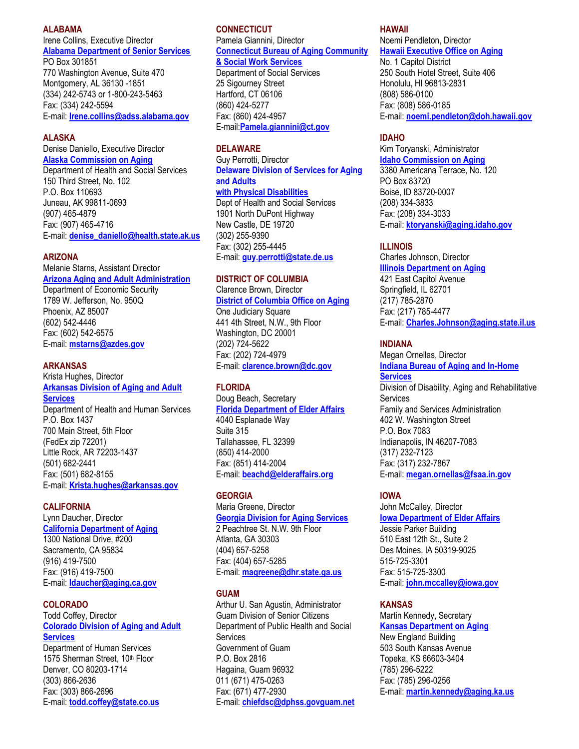### **ALABAMA**

Irene Collins, Executive Director **[Alabama Department of Senior Services](http://www.adss.state.al.us/)**

PO Box 301851 770 Washington Avenue, Suite 470 Montgomery, AL 36130 -1851 (334) 242-5743 or 1-800-243-5463 Fax: (334) 242-5594 E-mail: **[Irene.collins@adss.alabama.gov](mailto:Irene.collins@adss.alabama.gov)**

### **ALASKA**

Denise Daniello, Executive Director **[Alaska Commission on Aging](http://www.alaskaaging.org/)**

Department of Health and Social Services 150 Third Street, No. 102 P.O. Box 110693 Juneau, AK 99811-0693 (907) 465-4879 Fax: (907) 465-4716 E-mail: **[denise\\_daniello@health.state.ak.us](mailto:denise_daniello@health.state.ak.us)**

### **ARIZONA**

Melanie Starns, Assistant Director **[Arizona Aging and Adult Administration](http://www.de.state.az.us/links/aaa/page1.html)** Department of Economic Security 1789 W. Jefferson, No. 950Q Phoenix, AZ 85007 (602) 542-4446 Fax: (602) 542-6575 E-mail: **[mstarns@azdes.gov](mailto:mstarns@azdes.gov)**

### **ARKANSAS**

Krista Hughes, Director **[Arkansas Division of Aging and Adult](http://www.state.ar.us/dhs/aging/)  [Services](http://www.state.ar.us/dhs/aging/)** Department of Health and Human Services P.O. Box 1437 700 Main Street, 5th Floor (FedEx zip 72201) Little Rock, AR 72203-1437 (501) 682-2441 Fax: (501) 682-8155 E-mail: **[Krista.hughes@arkansas.gov](mailto:Krista.hughes@arkansas.gov)**

### **CALIFORNIA**

Lynn Daucher, Director **[California Department of Aging](http://www.aging.state.ca.us/)** 1300 National Drive, #200 Sacramento, CA 95834 (916) 419-7500 Fax: (916) 419-7500 E-mail: **[Idaucher@aging.ca.gov](mailto:Idaucher@aging.ca.gov)**

### **COLORADO** Todd Coffey, Director

# **[Colorado Division of Aging and Adult](http://www.cdhs.state.co.us/oss/aas/index1.html)  [Services](http://www.cdhs.state.co.us/oss/aas/index1.html)**

Department of Human Services 1575 Sherman Street, 10th Floor Denver, CO 80203-1714 (303) 866-2636 Fax: (303) 866-2696 E-mail: **[todd.coffey@state.co.us](mailto:todd.coffey@state.co.us)**

# **CONNECTICUT**

Pamela Giannini, Director **[Connecticut Bureau of Aging Community](http://www.dss.state.ct.us/)** 

# **[& Social Work Services](http://www.dss.state.ct.us/)**

Department of Social Services 25 Sigourney Street Hartford, CT 06106 (860) 424-5277 Fax: (860) 424-4957 E-mail:**[Pamela.giannini@ct.gov](mailto:Pamela.giannini@ct.gov)**

# **DELAWARE**

Guy Perrotti, Director **[Delaware Division of Services for Aging](http://www.dsaapd.com/)  [and Adults](http://www.dsaapd.com/)**

# **[with Physical Disabilities](http://www.dsaapd.com/)**

Dept of Health and Social Services 1901 North DuPont Highway New Castle, DE 19720 (302) 255-9390 Fax: (302) 255-4445 E-mail: **[guy.perrotti@state.de.us](mailto:guy.perrotti@state.de.us)**

# **DISTRICT OF COLUMBIA**

#### Clarence Brown, Director **[District of Columbia Office on Aging](http://www.ci.washington.dc.us/aging/aghome.htm)**

One Judiciary Square 441 4th Street, N.W., 9th Floor Washington, DC 20001 (202) 724-5622 Fax: (202) 724-4979 E-mail: **[clarence.brown@dc.gov](mailto:clarence.brown@dc.gov)**

# **FLORIDA**

Doug Beach, Secretary **[Florida Department of Elder Affairs](http://fcn.state.fl.us/doea/doea.html)** 4040 Esplanade Way

Suite 315 Tallahassee, FL 32399 (850) 414-2000 Fax: (851) 414-2004 E-mail: **[beachd@elderaffairs.org](mailto:beachd@elderaffairs.org)**

# **GEORGIA**

Maria Greene, Director **[Georgia Division for Aging Services](http://www2.state.ga.us/Departments/DHR/aging.html)** 2 Peachtree St. N.W. 9th Floor Atlanta, GA 30303 (404) 657-5258 Fax: (404) 657-5285 E-mail: **[magreene@dhr.state.ga.us](mailto:magreene@dhr.state.ga.us)**

# **GUAM**

Arthur U. San Agustin, Administrator Guam Division of Senior Citizens Department of Public Health and Social Services Government of Guam P.O. Box 2816 Hagaina, Guam 96932 011 (671) 475-0263 Fax: (671) 477-2930 E-mail: **[chiefdsc@dphss.govguam.net](mailto:chiefdsc@dphss.govguam.net)**

### **HAWAII**

Noemi Pendleton, Director **[Hawaii Executive Office on Aging](http://www2.state.hi.us/eoa/)**

No. 1 Capitol District 250 South Hotel Street, Suite 406 Honolulu, HI 96813-2831 (808) 586-0100 Fax: (808) 586-0185 E-mail: **[noemi.pendleton@doh.hawaii.gov](mailto:noemi.pendleton@doh.hawaii.gov)**

### **IDAHO**

Kim Toryanski, Administrator **[Idaho Commission on Aging](http://www.idahoaging.com/abouticoa/index.htm)** 3380 Americana Terrace, No. 120 PO Box 83720 Boise, ID 83720-0007 (208) 334-3833 Fax: (208) 334-3033 E-mail: **[ktoryanski@aging.idaho.gov](mailto:ktoryanski@aging.idaho.gov)**

# **ILLINOIS**

Charles Johnson, Director **[Illinois Department on Aging](http://www.state.il.us/aging/)** 421 East Capitol Avenue Springfield, IL 62701 (217) 785-2870 Fax: (217) 785-4477 E-mail: **[Charles.Johnson@aging.state.il.us](mailto:Charles.Johnson@aging.state.il.us)**

# **INDIANA**

Megan Ornellas, Director **[Indiana Bureau of Aging and In-Home](http://www.ai.org/fssa/HTML/PROGRAMS/2b.html)  [Services](http://www.ai.org/fssa/HTML/PROGRAMS/2b.html)** Division of Disability, Aging and Rehabilitative **Services** Family and Services Administration 402 W. Washington Street P.O. Box 7083 Indianapolis, IN 46207-7083 (317) 232-7123 Fax: (317) 232-7867 E-mail: **[megan.ornellas@fsaa.in.gov](mailto:megan.ornellas@fsaa.in.gov)**

# **IOWA**

John McCalley, Director **[Iowa Department of Elder Affairs](http://www.state.ia.us/elderaffairs/)** Jessie Parker Building 510 East 12th St., Suite 2 Des Moines, IA 50319-9025 515-725-3301 Fax: 515-725-3300 E-mail: **[john.mccalley@iowa.gov](mailto:john.mccalley@iowa.gov)**

# **KANSAS**

Martin Kennedy, Secretary **[Kansas Department on Aging](http://www.k4s.org/kdoa/)** New England Building 503 South Kansas Avenue Topeka, KS 66603-3404 (785) 296-5222 Fax: (785) 296-0256 E-mail: **[martin.kennedy@aging.ka.us](mailto:martin.kennedy@aging.ka.us)**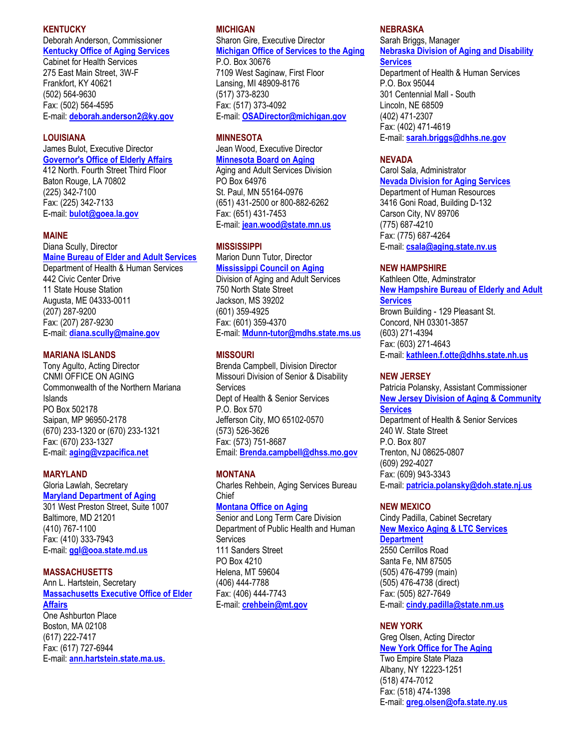### **KENTUCKY**

Deborah Anderson, Commissioner **[Kentucky Office of Aging Services](http://chs.state.ky.us/aging/)**

Cabinet for Health Services 275 East Main Street, 3W-F Frankfort, KY 40621 (502) 564-9630 Fax: (502) 564-4595 E-mail: **[deborah.anderson2@ky.gov](mailto:deborah.anderson2@ky.gov)**

# **LOUISIANA**

James Bulot, Executive Director **[Governor's Office of Elderly Affairs](http://www.gov.state.la.us/depts/elderly.htm)**

412 North. Fourth Street Third Floor Baton Rouge, LA 70802 (225) 342-7100 Fax: (225) 342-7133 E-mail: **[bulot@goea.la.gov](mailto:bulot@goea.la.gov)**

#### **MAINE**

### Diana Scully, Director

**[Maine Bureau of Elder and Adult Services](http://www.state.me.us/dhs/beas/)** Department of Health & Human Services 442 Civic Center Drive 11 State House Station Augusta, ME 04333-0011 (207) 287-9200 Fax: (207) 287-9230 E-mail: **[diana.scully@maine.gov](mailto:Diana.scully@maine.gov)** 

### **MARIANA ISLANDS**

Tony Agulto, Acting Director CNMI OFFICE ON AGING Commonwealth of the Northern Mariana Islands PO Box 502178 Saipan, MP 96950-2178 (670) 233-1320 or (670) 233-1321 Fax: (670) 233-1327 E-mail: **[aging@vzpacifica.net](mailto:aging@vzpacifica.net)**

### **MARYLAND**

Gloria Lawlah, Secretary **[Maryland Department of Aging](http://www.mdoa.state.md.us/directorn.html)** 301 West Preston Street, Suite 1007 Baltimore, MD 21201 (410) 767-1100 Fax: (410) 333-7943 E-mail: **[ggl@ooa.state.md.us](mailto:ggl@ooa.state.md.us)**

### **MASSACHUSETTS**

Ann L. Hartstein, Secretary **[Massachusetts Executive Office of Elder](http://www.state.ma.us/elder)  [Affairs](http://www.state.ma.us/elder)** One Ashburton Place Boston, MA 02108 (617) 222-7417 Fax: (617) 727-6944 E-mail: **[ann.hartstein.state.ma.us.](mailto:ann.hartstein.state.ma.us)**

# **MICHIGAN**

Sharon Gire, Executive Director **[Michigan Office of Services to the Aging](http://www.mdch.state.mi.us/mass/masshome.html)**

P.O. Box 30676 7109 West Saginaw, First Floor Lansing, MI 48909-8176 (517) 373-8230 Fax: (517) 373-4092 E-mail: **[OSADirector@michigan.gov](mailto:OSADirector@michigan.gov)**

# **MINNESOTA**

Jean Wood, Executive Director **[Minnesota Board on Aging](http://www.mnaging.org/)**

Aging and Adult Services Division PO Box 64976 St. Paul, MN 55164-0976 (651) 431-2500 or 800-882-6262 Fax: (651) 431-7453 E-mail: **[jean.wood@state.mn.us](mailto:jean.wood@state.mn.us)**

# **MISSISSIPPI**

Marion Dunn Tutor, Director **[Mississippi Council on Aging](http://www.mdhs.state.ms.us/aas.html)** Division of Aging and Adult Services 750 North State Street Jackson, MS 39202 (601) 359-4925 Fax: (601) 359-4370 E-mail: **[Mdunn-tutor@mdhs.state.ms.us](mailto:Mdunn-tutor@mdhs.state.ms.us)**

# **MISSOURI**

Brenda Campbell, Division Director Missouri Division of Senior & Disability Services Dept of Health & Senior Services P.O. Box 570 Jefferson City, MO 65102-0570 (573) 526-3626 Fax: (573) 751-8687 Email: **[Brenda.campbell@dhss.mo.gov](mailto:Brenda.campbell@dhss.mo.gov)**

# **MONTANA**

Charles Rehbein, Aging Services Bureau Chief

# **[Montana Office on Aging](http://www.dphhs.state.mt.us/sltc/)**

Senior and Long Term Care Division Department of Public Health and Human Services 111 Sanders Street PO Box 4210 Helena, MT 59604 (406) 444-7788 Fax: (406) 444-7743 E-mail: **[crehbein@mt.gov](mailto:crehbein@mt.gov)**

### **NEBRASKA**

Sarah Briggs, Manager **[Nebraska Division of Aging and Disability](http://www.hhs.state.ne.us/ags/agsindex.htm)  [Services](http://www.hhs.state.ne.us/ags/agsindex.htm)**

Department of Health & Human Services P.O. Box 95044 301 Centennial Mall - South Lincoln, NE 68509 (402) 471-2307 Fax: (402) 471-4619 E-mail: **[sarah.briggs@dhhs.ne.gov](mailto:sarah.briggs@dhhs.ne.gov)**

### **NEVADA**

Carol Sala, Administrator **[Nevada Division for Aging Services](http://www.state.nv.us/hr/aging/)** Department of Human Resources 3416 Goni Road, Building D-132 Carson City, NV 89706 (775) 687-4210 Fax: (775) 687-4264 E-mail: **[csala@aging.state.nv.us](mailto:csala@aging.state.nv.us)**

#### **NEW HAMPSHIRE**

Kathleen Otte, Adminstrator **[New Hampshire Bureau of Elderly and Adult](http://www.dhhs.state.nh.us/DHHS/DHHS_SITE/default.htm)** 

# **[Services](http://www.dhhs.state.nh.us/DHHS/DHHS_SITE/default.htm)**

Brown Building - 129 Pleasant St. Concord, NH 03301-3857 (603) 271-4394 Fax: (603) 271-4643 E-mail: **[kathleen.f.otte@dhhs.state.nh.us](mailto:kathleen.f.otte@dhhs.state.nh.us)**

#### **NEW JERSEY**

Patricia Polansky, Assistant Commissioner **[New Jersey Division of Aging & Community](http://www.state.nj.us./health/senior/sraffair.htm)  [Services](http://www.state.nj.us./health/senior/sraffair.htm)** Department of Health & Senior Services 240 W. State Street P.O. Box 807 Trenton, NJ 08625-0807 (609) 292-4027 Fax: (609) 943-3343 E-mail: **[patricia.polansky@doh.state.nj.us](mailto:patricia.polansky@doh.state.nj.us)**

### **NEW MEXICO**

Cindy Padilla, Cabinet Secretary **[New Mexico Aging & LTC Services](http://www.nmaging.state.nm.us/)  [Department](http://www.nmaging.state.nm.us/)** 2550 Cerrillos Road Santa Fe, NM 87505 (505) 476-4799 (main) (505) 476-4738 (direct) Fax: (505) 827-7649 E-mail: **[cindy.padilla@state.nm.us](mailto:cindy.padilla@state.nm.us)**

# **NEW YORK**

Greg Olsen, Acting Director **[New York Office for The Aging](http://aging.state.ny.us/nysofa/)** Two Empire State Plaza Albany, NY 12223-1251 (518) 474-7012 Fax: (518) 474-1398 E-mail: **[greg.olsen@ofa.state.ny.us](mailto:greg.olsen@ofa.state.ny.us)**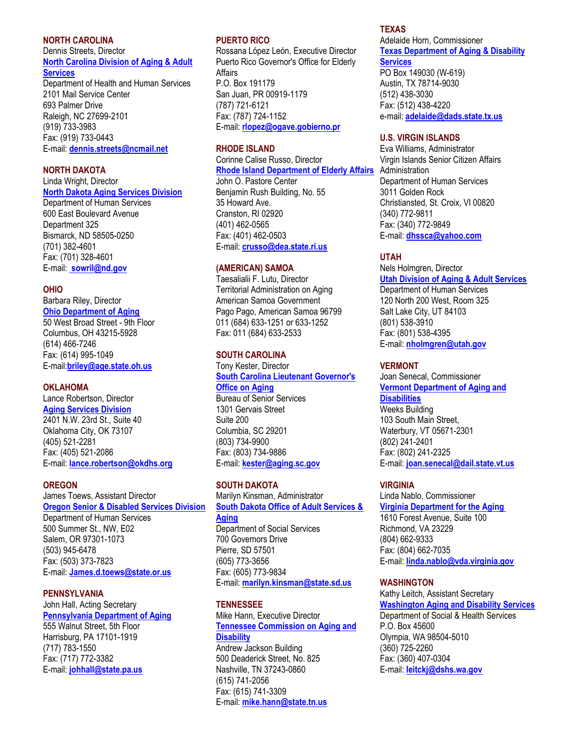# **NORTH CAROLINA**

# Dennis Streets, Director **[North Carolina Division of Aging & Adult](http://www.dhhs.state.nc.us/aging/home.htm)  [Services](http://www.dhhs.state.nc.us/aging/home.htm)**

Department of Health and Human Services 2101 Mail Service Center 693 Palmer Drive Raleigh, NC 27699-2101 (919) 733-3983 Fax: (919) 733-0443 E-mail: **[dennis.streets@ncmail.net](mailto:dennis.streets@ncmail.net)**

### **NORTH DAKOTA**

Linda Wright, Director

# **[North Dakota Aging Services Division](http://lnotes.state.nd.us/dhs/dhsweb.nsf)**

Department of Human Services 600 East Boulevard Avenue Department 325 Bismarck, ND 58505-0250 (701) 382-4601 Fax: (701) 328-4601 E-mail: **[sowril@nd.gov](mailto:sowril@nd.gov)**

# **OHIO**

Barbara Riley, Director **[Ohio Department of Aging](http://www.state.oh.us/age/)** 50 West Broad Street - 9th Floor Columbus, OH 43215-5928 (614) 466-7246 Fax: (614) 995-1049 E-mail:**[briley@age.state.oh.us](mailto:briley@age.state.oh.us)**

# **OKLAHOMA**

Lance Robertson, Director **[Aging Services Division](http://www.okdhs.org/iofficedivision/agingservices.htm)** 2401 N.W. 23rd St., Suite 40 Oklahoma City, OK 73107 (405) 521-2281 Fax: (405) 521-2086 E-mail: **[lance.robertson@okdhs.org](mailto:lance.robertson@okdhs.org)**

# **OREGON**

James Toews, Assistant Director **[Oregon Senior & Disabled Services Division](http://www.sdsd.hr.state.or.us/)** Department of Human Services 500 Summer St., NW, E02 Salem, OR 97301-1073 (503) 945-6478 Fax: (503) 373-7823 E-mail: **[James.d.toews@state.or.us](mailto:James.d.toews@state.or.us)**

# **PENNSYLVANIA**

# John Hall, Acting Secretary **[Pennsylvania Department of Aging](http://www.aging.state.pa.us/)**

555 Walnut Street, 5th Floor Harrisburg, PA 17101-1919 (717) 783-1550 Fax: (717) 772-3382 E-mail: **[johhall@state.pa.us](mailto:johhall@state.pa.us)**

### **PUERTO RICO**

Rossana López León, Executive Director Puerto Rico Governor's Office for Elderly Affairs P.O. Box 191179 San Juan, PR 00919-1179 (787) 721-6121 Fax: (787) 724-1152 E-mail: **[rlopez@ogave.gobierno.pr](mailto:rlopez@ogave.gobierno.pr)**

### **RHODE ISLAND**

Corinne Calise Russo, Director **[Rhode Island Department of Elderly Affairs](http://www.state.ri.us/manual/data/queries/stdept_.idc?id=23)** John O. Pastore Center Benjamin Rush Building, No. 55 35 Howard Ave. Cranston, RI 02920 (401) 462-0565 Fax: (401) 462-0503

E-mail: **[crusso@dea.state.ri.us](mailto:crusso@dea.state.ri.us)**

# **(AMERICAN) SAMOA**

Taesalialii F. Lutu, Director Territorial Administration on Aging American Samoa Government Pago Pago, American Samoa 96799 011 (684) 633-1251 or 633-1252 Fax: 011 (684) 633-2533

# **SOUTH CAROLINA**

### Tony Kester, Director **[South Carolina Lieutenant Governor's](http://www.aging.sc.gov/)  [Office on Aging](http://www.aging.sc.gov/)**

Bureau of Senior Services 1301 Gervais Street Suite 200 Columbia, SC 29201 (803) 734-9900 Fax: (803) 734-9886 E-mail: **[kester@aging.sc.gov](mailto:kester@aging.sc.gov)**

# **SOUTH DAKOTA**

Marilyn Kinsman, Administrator **[South Dakota Office of Adult Services &](http://www.state.sd.us/social/ASA/index.htm)  [Aging](http://www.state.sd.us/social/ASA/index.htm)** Department of Social Services 700 Governors Drive Pierre, SD 57501

(605) 773-3656 Fax: (605) 773-9834 E-mail: **[marilyn.kinsman@state.sd.us](mailto:marilyn.kinsman@state.sd.us)**

# **TENNESSEE**

# Mike Hann, Executive Director **[Tennessee Commission on Aging and](http://www.state.tn.us/comaging/)  [Disability](http://www.state.tn.us/comaging/)**

Andrew Jackson Building 500 Deaderick Street, No. 825 Nashville, TN 37243-0860 (615) 741-2056 Fax: (615) 741-3309 E-mail: **[mike.hann@state.tn.us](mailto:mike.hann@state.tn.us)**

# **TEXAS**

### Adelaide Horn, Commissioner **[Texas Department of Aging & Disability](http://www.texas.gov/agency/340.html)  [Services](http://www.texas.gov/agency/340.html)**

PO Box 149030 (W-619) Austin, TX 78714-9030 (512) 438-3030 Fax: (512) 438-4220 e-mail: **[adelaide@dads.state.tx.us](mailto:adelaide@dads.state.tx.us)**

### **U.S. VIRGIN ISLANDS**

Eva Williams, Administrator Virgin Islands Senior Citizen Affairs Administration Department of Human Services 3011 Golden Rock Christiansted, St. Croix, VI 00820 (340) 772-9811 Fax: (340) 772-9849 E-mail: **[dhssca@yahoo.com](mailto:dhssca@yahoo.com)**

# **UTAH**

# Nels Holmgren, Director **[Utah Division of Aging & Adult Services](http://www.hsdaas.state.ut.us/SrvAge.htm)** Department of Human Services 120 North 200 West, Room 325 Salt Lake City, UT 84103 (801) 538-3910 Fax: (801) 538-4395 E-mail: **[nholmgren@utah.gov](mailto:nholmgren@utah.gov)**

# **VERMONT**

Joan Senecal, Commissioner **[Vermont Department of Aging and](http://www.dad.state.vt.us/)  [Disabilities](http://www.dad.state.vt.us/)** Weeks Building 103 South Main Street, Waterbury, VT 05671-2301 (802) 241-2401 Fax: (802) 241-2325 E-mail: **[joan.senecal@dail.state.vt.us](mailto:joan.senecal@dail.state.vt.us)**

# **VIRGINIA**

Linda Nablo, Commissioner **[Virginia Department for the Aging](http://www.aging.state.va.us/)** 1610 Forest Avenue, Suite 100 Richmond, VA 23229 (804) 662-9333 Fax: (804) 662-7035 E-mail: **[linda.nablo@vda.virginia.gov](mailto:linda.nablo@vda.virginia.gov)**

# **WASHINGTON**

Kathy Leitch, Assistant Secretary **[Washington Aging and Disability Services](http://www.aasa.dshs.wa.gov/)** Department of Social & Health Services P.O. Box 45600 Olympia, WA 98504-5010 (360) 725-2260 Fax: (360) 407-0304 E-mail: **[leitckj@dshs.wa.gov](mailto:leitckj@dshs.wa.gov)**